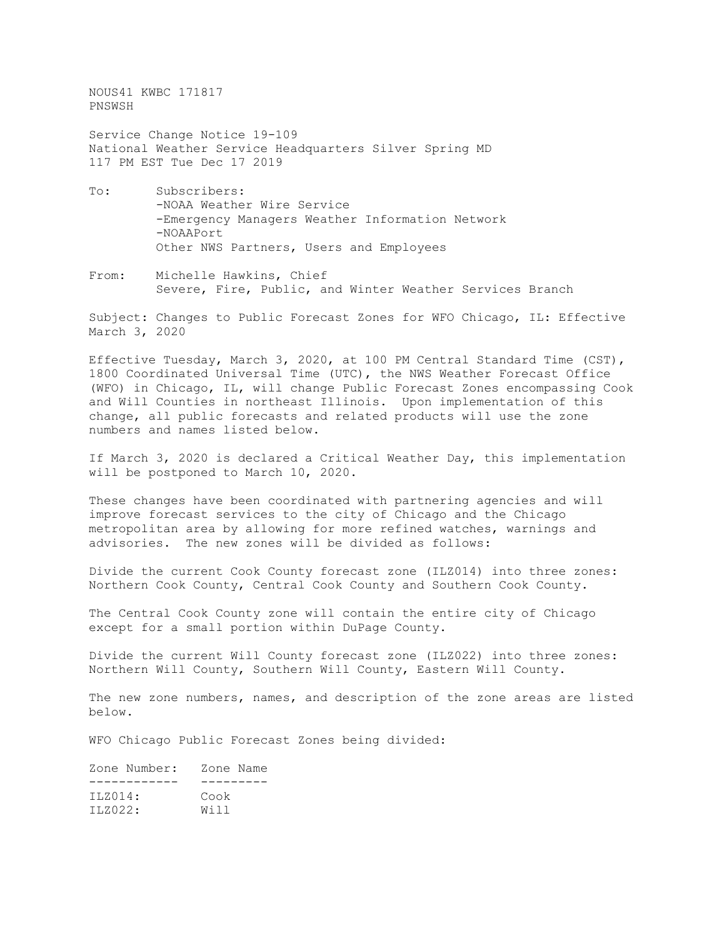NOUS41 KWBC 171817 PNSWSH

Service Change Notice 19-109 National Weather Service Headquarters Silver Spring MD 117 PM EST Tue Dec 17 2019

- To: Subscribers: -NOAA Weather Wire Service -Emergency Managers Weather Information Network -NOAAPort Other NWS Partners, Users and Employees
- From: Michelle Hawkins, Chief Severe, Fire, Public, and Winter Weather Services Branch

Subject: Changes to Public Forecast Zones for WFO Chicago, IL: Effective March 3, 2020

Effective Tuesday, March 3, 2020, at 100 PM Central Standard Time (CST), 1800 Coordinated Universal Time (UTC), the NWS Weather Forecast Office (WFO) in Chicago, IL, will change Public Forecast Zones encompassing Cook and Will Counties in northeast Illinois. Upon implementation of this change, all public forecasts and related products will use the zone numbers and names listed below.

If March 3, 2020 is declared a Critical Weather Day, this implementation will be postponed to March 10, 2020.

These changes have been coordinated with partnering agencies and will improve forecast services to the city of Chicago and the Chicago metropolitan area by allowing for more refined watches, warnings and advisories. The new zones will be divided as follows:

Divide the current Cook County forecast zone (ILZ014) into three zones: Northern Cook County, Central Cook County and Southern Cook County.

The Central Cook County zone will contain the entire city of Chicago except for a small portion within DuPage County.

Divide the current Will County forecast zone (ILZ022) into three zones: Northern Will County, Southern Will County, Eastern Will County.

The new zone numbers, names, and description of the zone areas are listed below.

WFO Chicago Public Forecast Zones being divided:

| Zone Name |
|-----------|
|           |
| Cook      |
| Will      |
|           |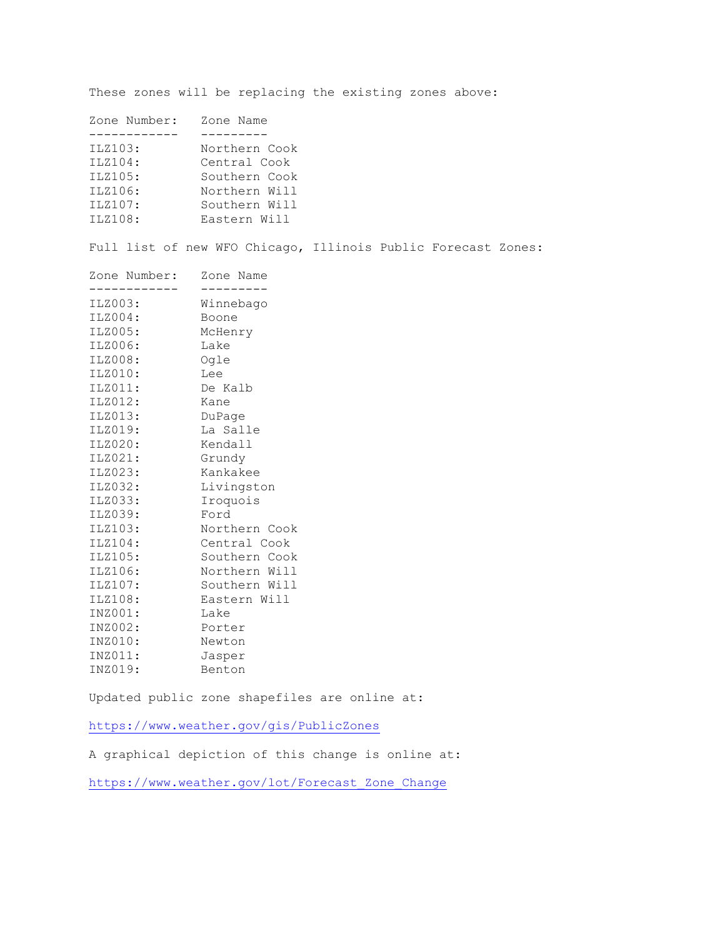These zones will be replacing the existing zones above:

| Zone Number: | Zone Name     |
|--------------|---------------|
|              |               |
| ILZ103:      | Northern Cook |
| ILZ104:      | Central Cook  |
| ILZ105:      | Southern Cook |
| ILZ106:      | Northern Will |
| ILZ107:      | Southern Will |
| ILZ108:      | Eastern Will  |
|              |               |

Full list of new WFO Chicago, Illinois Public Forecast Zones:

| Zone Number: | Zone Name     |
|--------------|---------------|
| ILZ003:      | Winnebago     |
| ILZ004:      | Boone         |
| ILZ005:      | McHenry       |
| ILZ006:      | Lake          |
| ILZ008:      | Ogle          |
| ILZ010:      | Lee           |
| ILZ011:      | De Kalb       |
| ILZ012:      | Kane          |
| ILZ013:      | DuPage        |
| ILZ019:      | La Salle      |
| ILZ020:      | Kendall       |
| ILZ021:      | Grundy        |
| ILZ023:      | Kankakee      |
| ILZ032:      | Livingston    |
| ILZ033:      | Iroquois      |
| ILZ039:      | Ford          |
| ILZ103:      | Northern Cook |
| ILZ104:      | Central Cook  |
| ILZ105:      | Southern Cook |
| ILZ106:      | Northern Will |
| ILZ107:      | Southern Will |
| ILZ108:      | Eastern Will  |
| INZ001:      | Lake          |
| INZ002:      | Porter        |
| INZ010:      | Newton        |
| INZ011:      | Jasper        |
| INZ019:      | Benton        |

Updated public zone shapefiles are online at:

<https://www.weather.gov/gis/PublicZones>

A graphical depiction of this change is online at:

[https://www.weather.gov/lot/Forecast\\_Zone\\_Change](https://www.weather.gov/lot/Forecast_Zone_Change)